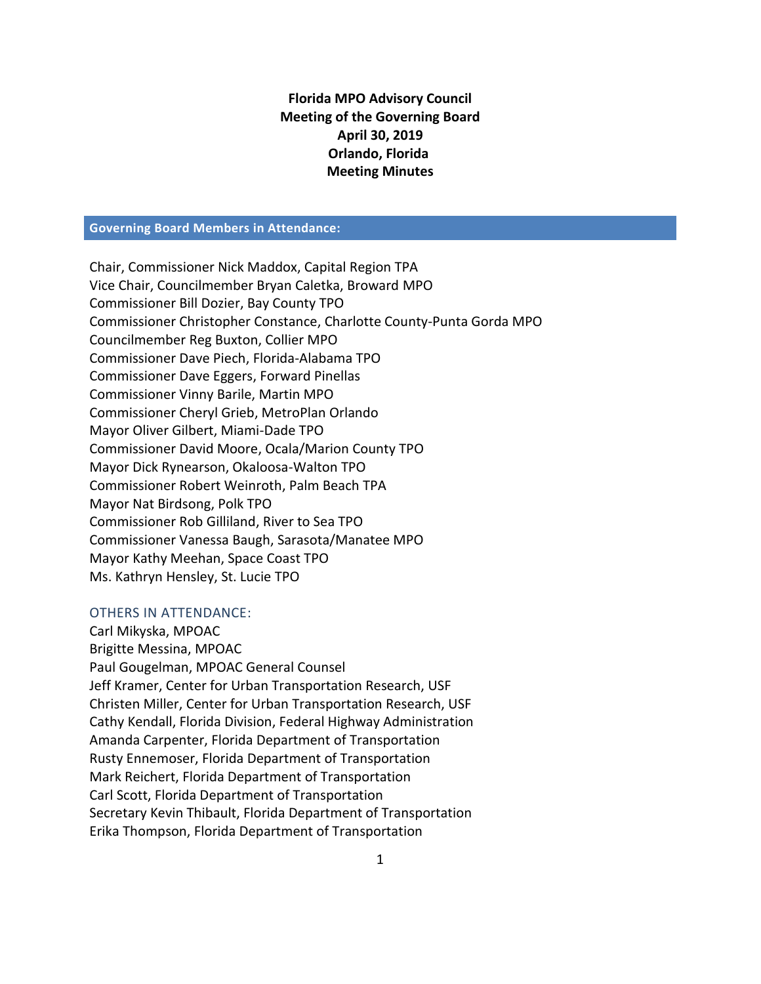# **Florida MPO Advisory Council Meeting of the Governing Board April 30, 2019 Orlando, Florida Meeting Minutes**

#### **Governing Board Members in Attendance:**

Chair, Commissioner Nick Maddox, Capital Region TPA Vice Chair, Councilmember Bryan Caletka, Broward MPO Commissioner Bill Dozier, Bay County TPO Commissioner Christopher Constance, Charlotte County-Punta Gorda MPO Councilmember Reg Buxton, Collier MPO Commissioner Dave Piech, Florida-Alabama TPO Commissioner Dave Eggers, Forward Pinellas Commissioner Vinny Barile, Martin MPO Commissioner Cheryl Grieb, MetroPlan Orlando Mayor Oliver Gilbert, Miami-Dade TPO Commissioner David Moore, Ocala/Marion County TPO Mayor Dick Rynearson, Okaloosa-Walton TPO Commissioner Robert Weinroth, Palm Beach TPA Mayor Nat Birdsong, Polk TPO Commissioner Rob Gilliland, River to Sea TPO Commissioner Vanessa Baugh, Sarasota/Manatee MPO Mayor Kathy Meehan, Space Coast TPO Ms. Kathryn Hensley, St. Lucie TPO

#### OTHERS IN ATTENDANCE:

Carl Mikyska, MPOAC Brigitte Messina, MPOAC Paul Gougelman, MPOAC General Counsel Jeff Kramer, Center for Urban Transportation Research, USF Christen Miller, Center for Urban Transportation Research, USF Cathy Kendall, Florida Division, Federal Highway Administration Amanda Carpenter, Florida Department of Transportation Rusty Ennemoser, Florida Department of Transportation Mark Reichert, Florida Department of Transportation Carl Scott, Florida Department of Transportation Secretary Kevin Thibault, Florida Department of Transportation Erika Thompson, Florida Department of Transportation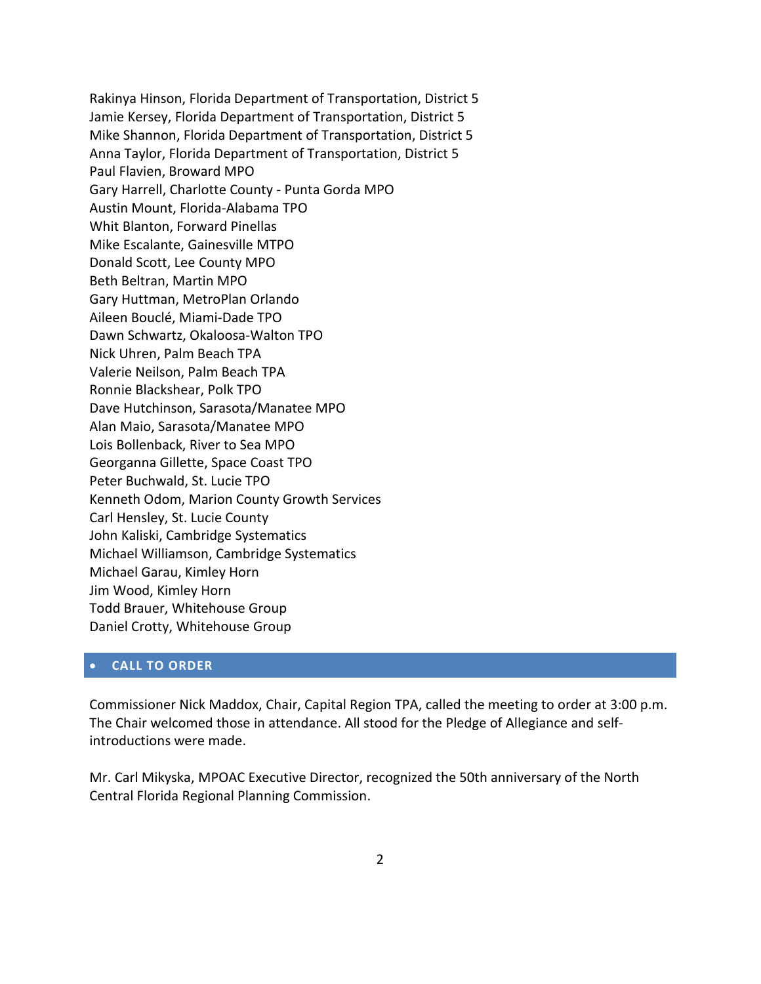Rakinya Hinson, Florida Department of Transportation, District 5 Jamie Kersey, Florida Department of Transportation, District 5 Mike Shannon, Florida Department of Transportation, District 5 Anna Taylor, Florida Department of Transportation, District 5 Paul Flavien, Broward MPO Gary Harrell, Charlotte County - Punta Gorda MPO Austin Mount, Florida-Alabama TPO Whit Blanton, Forward Pinellas Mike Escalante, Gainesville MTPO Donald Scott, Lee County MPO Beth Beltran, Martin MPO Gary Huttman, MetroPlan Orlando Aileen Bouclé, Miami-Dade TPO Dawn Schwartz, Okaloosa-Walton TPO Nick Uhren, Palm Beach TPA Valerie Neilson, Palm Beach TPA Ronnie Blackshear, Polk TPO Dave Hutchinson, Sarasota/Manatee MPO Alan Maio, Sarasota/Manatee MPO Lois Bollenback, River to Sea MPO Georganna Gillette, Space Coast TPO Peter Buchwald, St. Lucie TPO Kenneth Odom, Marion County Growth Services Carl Hensley, St. Lucie County John Kaliski, Cambridge Systematics Michael Williamson, Cambridge Systematics Michael Garau, Kimley Horn Jim Wood, Kimley Horn Todd Brauer, Whitehouse Group Daniel Crotty, Whitehouse Group

## **CALL TO ORDER**

Commissioner Nick Maddox, Chair, Capital Region TPA, called the meeting to order at 3:00 p.m. The Chair welcomed those in attendance. All stood for the Pledge of Allegiance and selfintroductions were made.

Mr. Carl Mikyska, MPOAC Executive Director, recognized the 50th anniversary of the North Central Florida Regional Planning Commission.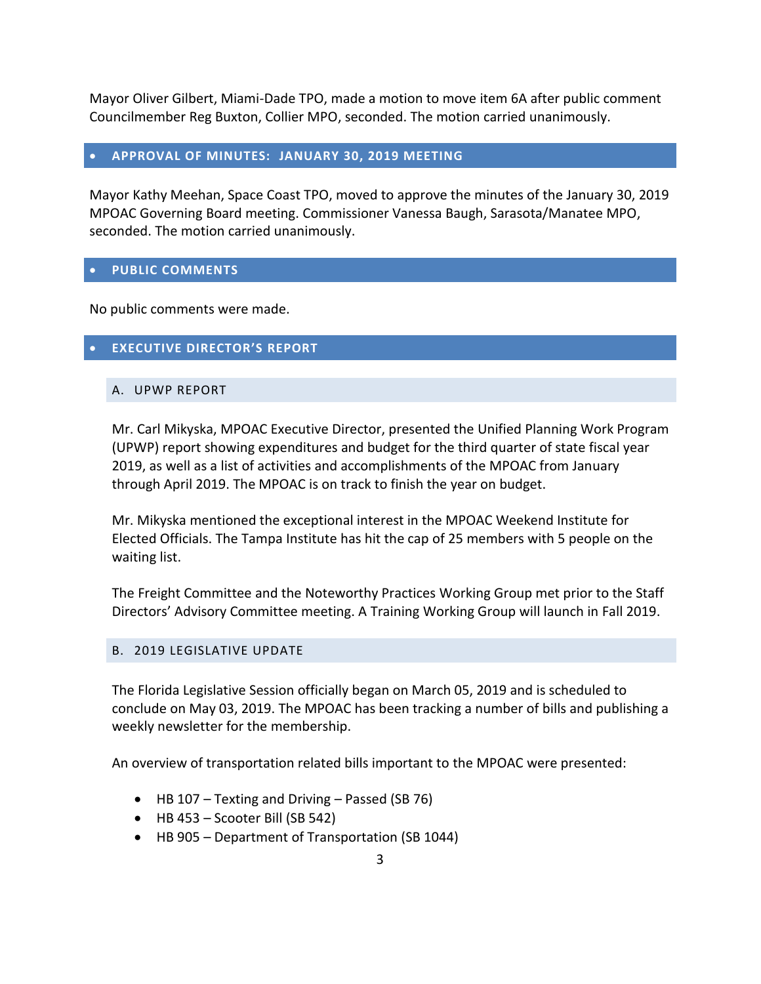Mayor Oliver Gilbert, Miami-Dade TPO, made a motion to move item 6A after public comment Councilmember Reg Buxton, Collier MPO, seconded. The motion carried unanimously.

#### **APPROVAL OF MINUTES: JANUARY 30, 2019 MEETING**

Mayor Kathy Meehan, Space Coast TPO, moved to approve the minutes of the January 30, 2019 MPOAC Governing Board meeting. Commissioner Vanessa Baugh, Sarasota/Manatee MPO, seconded. The motion carried unanimously.

### **PUBLIC COMMENTS**

No public comments were made.

## **EXECUTIVE DIRECTOR'S REPORT**

#### A. UPWP REPORT

Mr. Carl Mikyska, MPOAC Executive Director, presented the Unified Planning Work Program (UPWP) report showing expenditures and budget for the third quarter of state fiscal year 2019, as well as a list of activities and accomplishments of the MPOAC from January through April 2019. The MPOAC is on track to finish the year on budget.

Mr. Mikyska mentioned the exceptional interest in the MPOAC Weekend Institute for Elected Officials. The Tampa Institute has hit the cap of 25 members with 5 people on the waiting list.

The Freight Committee and the Noteworthy Practices Working Group met prior to the Staff Directors' Advisory Committee meeting. A Training Working Group will launch in Fall 2019.

#### B. 2019 LEGISLATIVE UPDATE

The Florida Legislative Session officially began on March 05, 2019 and is scheduled to conclude on May 03, 2019. The MPOAC has been tracking a number of bills and publishing a weekly newsletter for the membership.

An overview of transportation related bills important to the MPOAC were presented:

- HB 107 Texting and Driving Passed (SB 76)
- $\bullet$  HB 453 Scooter Bill (SB 542)
- HB 905 Department of Transportation (SB 1044)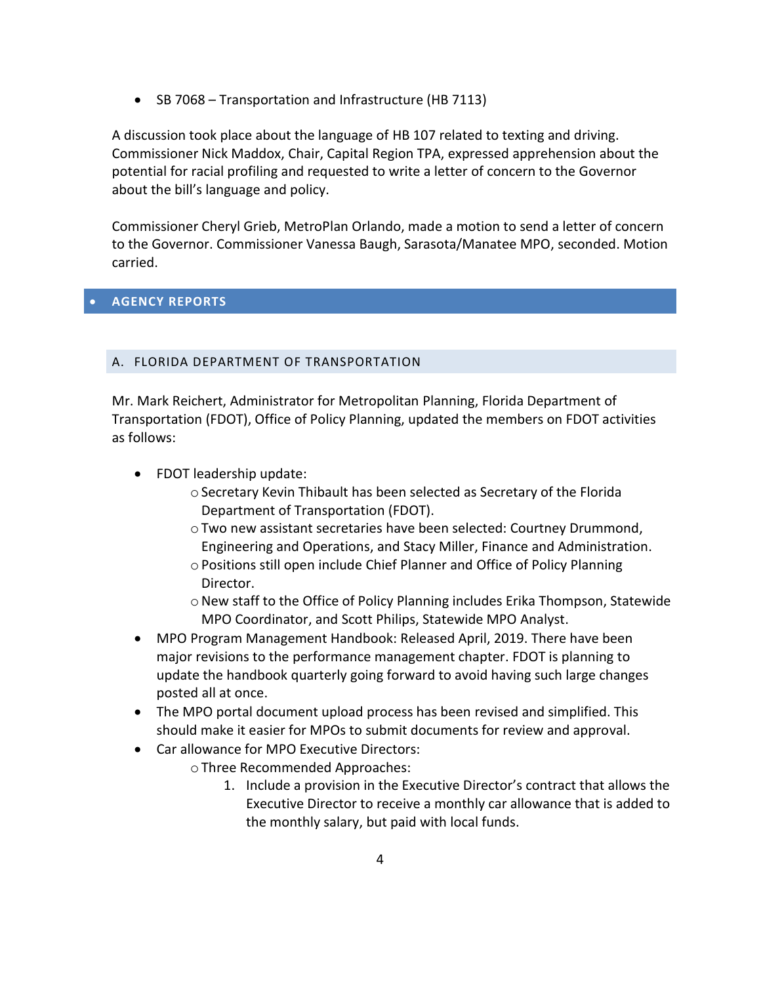• SB 7068 – Transportation and Infrastructure (HB 7113)

A discussion took place about the language of HB 107 related to texting and driving. Commissioner Nick Maddox, Chair, Capital Region TPA, expressed apprehension about the potential for racial profiling and requested to write a letter of concern to the Governor about the bill's language and policy.

Commissioner Cheryl Grieb, MetroPlan Orlando, made a motion to send a letter of concern to the Governor. Commissioner Vanessa Baugh, Sarasota/Manatee MPO, seconded. Motion carried.

## **AGENCY REPORTS**

### A. FLORIDA DEPARTMENT OF TRANSPORTATION

Mr. Mark Reichert, Administrator for Metropolitan Planning, Florida Department of Transportation (FDOT), Office of Policy Planning, updated the members on FDOT activities as follows:

- FDOT leadership update:
	- oSecretary Kevin Thibault has been selected as Secretary of the Florida Department of Transportation (FDOT).
	- oTwo new assistant secretaries have been selected: Courtney Drummond, Engineering and Operations, and Stacy Miller, Finance and Administration.
	- oPositions still open include Chief Planner and Office of Policy Planning Director.
	- $\circ$  New staff to the Office of Policy Planning includes Erika Thompson, Statewide MPO Coordinator, and Scott Philips, Statewide MPO Analyst.
- MPO Program Management Handbook: Released April, 2019. There have been major revisions to the performance management chapter. FDOT is planning to update the handbook quarterly going forward to avoid having such large changes posted all at once.
- The MPO portal document upload process has been revised and simplified. This should make it easier for MPOs to submit documents for review and approval.
- Car allowance for MPO Executive Directors:
	- oThree Recommended Approaches:
		- 1. Include a provision in the Executive Director's contract that allows the Executive Director to receive a monthly car allowance that is added to the monthly salary, but paid with local funds.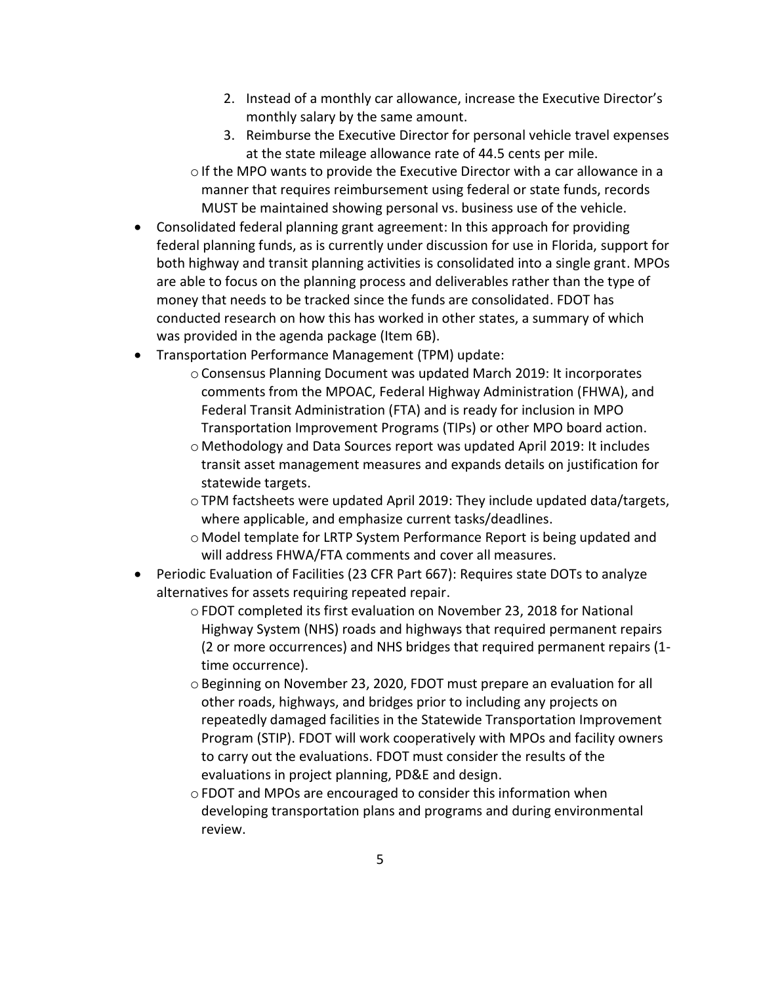- 2. Instead of a monthly car allowance, increase the Executive Director's monthly salary by the same amount.
- 3. Reimburse the Executive Director for personal vehicle travel expenses at the state mileage allowance rate of 44.5 cents per mile.

 $\circ$  If the MPO wants to provide the Executive Director with a car allowance in a manner that requires reimbursement using federal or state funds, records MUST be maintained showing personal vs. business use of the vehicle.

- Consolidated federal planning grant agreement: In this approach for providing federal planning funds, as is currently under discussion for use in Florida, support for both highway and transit planning activities is consolidated into a single grant. MPOs are able to focus on the planning process and deliverables rather than the type of money that needs to be tracked since the funds are consolidated. FDOT has conducted research on how this has worked in other states, a summary of which was provided in the agenda package (Item 6B).
- Transportation Performance Management (TPM) update:
	- oConsensus Planning Document was updated March 2019: It incorporates comments from the MPOAC, Federal Highway Administration (FHWA), and Federal Transit Administration (FTA) and is ready for inclusion in MPO Transportation Improvement Programs (TIPs) or other MPO board action.

o Methodology and Data Sources report was updated April 2019: It includes transit asset management measures and expands details on justification for statewide targets.

- $\circ$  TPM factsheets were updated April 2019: They include updated data/targets, where applicable, and emphasize current tasks/deadlines.
- o Model template for LRTP System Performance Report is being updated and will address FHWA/FTA comments and cover all measures.
- Periodic Evaluation of Facilities (23 CFR Part 667): Requires state DOTs to analyze alternatives for assets requiring repeated repair.
	- oFDOT completed its first evaluation on November 23, 2018 for National Highway System (NHS) roads and highways that required permanent repairs (2 or more occurrences) and NHS bridges that required permanent repairs (1 time occurrence).
	- oBeginning on November 23, 2020, FDOT must prepare an evaluation for all other roads, highways, and bridges prior to including any projects on repeatedly damaged facilities in the Statewide Transportation Improvement Program (STIP). FDOT will work cooperatively with MPOs and facility owners to carry out the evaluations. FDOT must consider the results of the evaluations in project planning, PD&E and design.

oFDOT and MPOs are encouraged to consider this information when developing transportation plans and programs and during environmental review.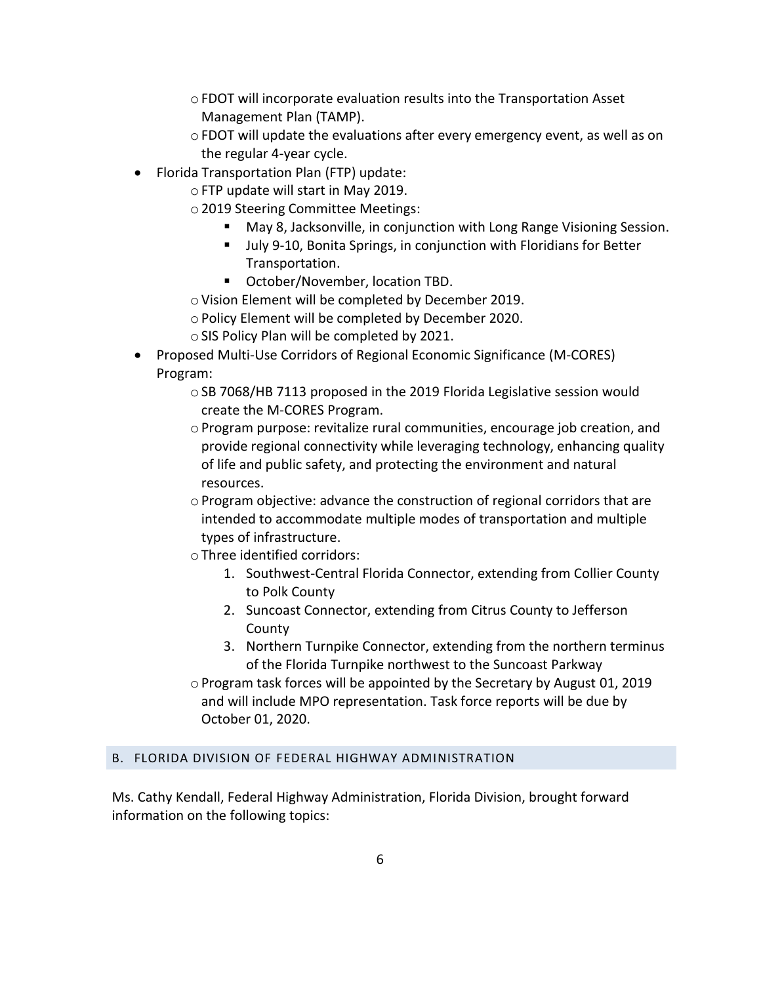- $\circ$  FDOT will incorporate evaluation results into the Transportation Asset Management Plan (TAMP).
- $\circ$  FDOT will update the evaluations after every emergency event, as well as on the regular 4-year cycle.
- Florida Transportation Plan (FTP) update:
	- oFTP update will start in May 2019.
	- o2019 Steering Committee Meetings:
		- May 8, Jacksonville, in conjunction with Long Range Visioning Session.
		- Ully 9-10, Bonita Springs, in conjunction with Floridians for Better Transportation.
		- October/November, location TBD.
	- o Vision Element will be completed by December 2019.
	- oPolicy Element will be completed by December 2020.
	- oSIS Policy Plan will be completed by 2021.
- Proposed Multi-Use Corridors of Regional Economic Significance (M-CORES) Program:
	- $\circ$  SB 7068/HB 7113 proposed in the 2019 Florida Legislative session would create the M-CORES Program.
	- $\circ$  Program purpose: revitalize rural communities, encourage job creation, and provide regional connectivity while leveraging technology, enhancing quality of life and public safety, and protecting the environment and natural resources.
	- $\circ$  Program objective: advance the construction of regional corridors that are intended to accommodate multiple modes of transportation and multiple types of infrastructure.
	- oThree identified corridors:
		- 1. Southwest-Central Florida Connector, extending from Collier County to Polk County
		- 2. Suncoast Connector, extending from Citrus County to Jefferson County
		- 3. Northern Turnpike Connector, extending from the northern terminus of the Florida Turnpike northwest to the Suncoast Parkway
	- o Program task forces will be appointed by the Secretary by August 01, 2019 and will include MPO representation. Task force reports will be due by October 01, 2020.

### B. FLORIDA DIVISION OF FEDERAL HIGHWAY ADMINISTRATION

Ms. Cathy Kendall, Federal Highway Administration, Florida Division, brought forward information on the following topics: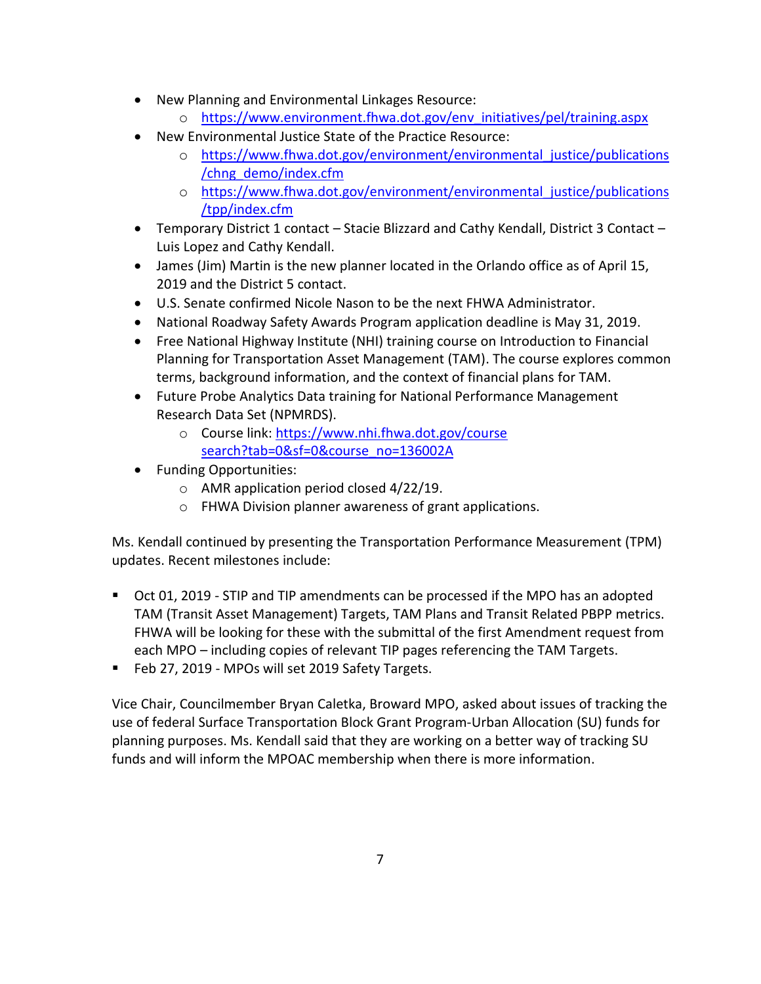- New Planning and Environmental Linkages Resource:
	- o [https://www.environment.fhwa.dot.gov/env\\_initiatives/pel/training.aspx](https://www.environment.fhwa.dot.gov/env_initiatives/pel/training.aspx)
- New Environmental Justice State of the Practice Resource:
	- o [https://www.fhwa.dot.gov/environment/environmental\\_justice/publications](https://www.fhwa.dot.gov/environment/environmental_justice/publications/chng_demo/index.cfm) [/chng\\_demo/index.cfm](https://www.fhwa.dot.gov/environment/environmental_justice/publications/chng_demo/index.cfm)
	- o [https://www.fhwa.dot.gov/environment/environmental\\_justice/publications](https://www.fhwa.dot.gov/environment/environmental_justice/publications/tpp/index.cfm) [/tpp/index.cfm](https://www.fhwa.dot.gov/environment/environmental_justice/publications/tpp/index.cfm)
- Temporary District 1 contact Stacie Blizzard and Cathy Kendall, District 3 Contact Luis Lopez and Cathy Kendall.
- James (Jim) Martin is the new planner located in the Orlando office as of April 15, 2019 and the District 5 contact.
- U.S. Senate confirmed Nicole Nason to be the next FHWA Administrator.
- National Roadway Safety Awards Program application deadline is May 31, 2019.
- Free National Highway Institute (NHI) training course on Introduction to Financial Planning for Transportation Asset Management (TAM). The course explores common terms, background information, and the context of financial plans for TAM.
- Future Probe Analytics Data training for National Performance Management Research Data Set (NPMRDS).
	- o Course link: [https://www.nhi.fhwa.dot.gov/course](https://www.nhi.fhwa.dot.gov/course%20search?tab=0&sf=0&course_no=136002A)  [search?tab=0&sf=0&course\\_no=136002A](https://www.nhi.fhwa.dot.gov/course%20search?tab=0&sf=0&course_no=136002A)
- Funding Opportunities:
	- o AMR application period closed 4/22/19.
	- o FHWA Division planner awareness of grant applications.

Ms. Kendall continued by presenting the Transportation Performance Measurement (TPM) updates. Recent milestones include:

- Oct 01, 2019 STIP and TIP amendments can be processed if the MPO has an adopted TAM (Transit Asset Management) Targets, TAM Plans and Transit Related PBPP metrics. FHWA will be looking for these with the submittal of the first Amendment request from each MPO – including copies of relevant TIP pages referencing the TAM Targets.
- Feb 27, 2019 MPOs will set 2019 Safety Targets.

Vice Chair, Councilmember Bryan Caletka, Broward MPO, asked about issues of tracking the use of federal Surface Transportation Block Grant Program-Urban Allocation (SU) funds for planning purposes. Ms. Kendall said that they are working on a better way of tracking SU funds and will inform the MPOAC membership when there is more information.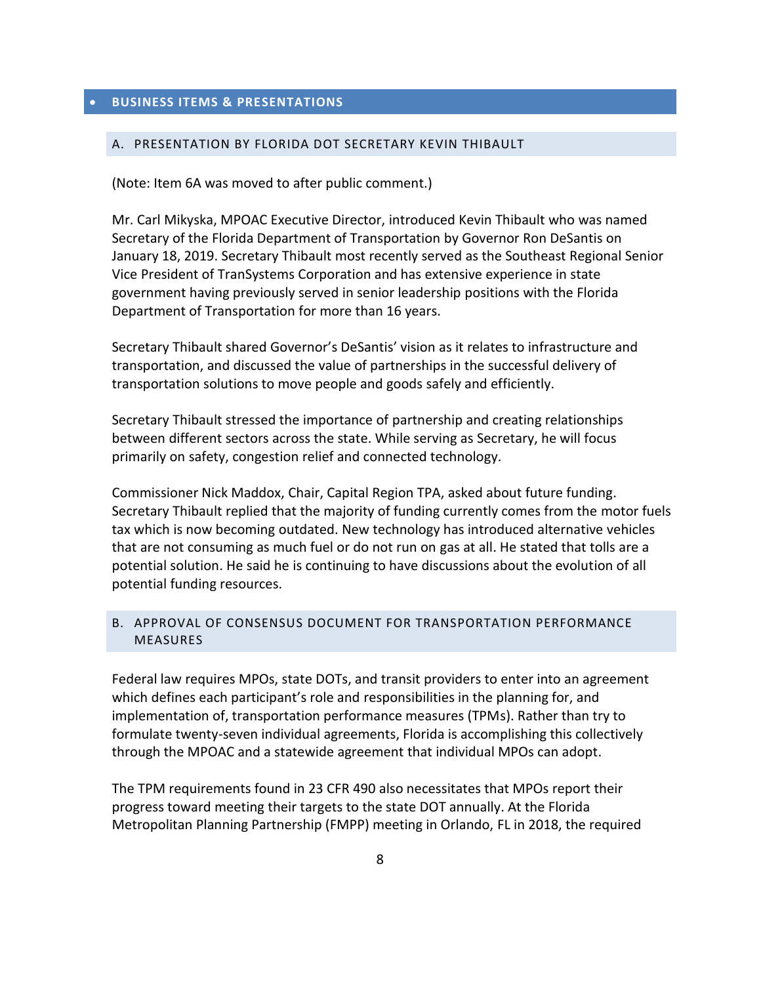#### A. PRESENTATION BY FLORIDA DOT SECRETARY KEVIN THIBAULT

(Note: Item 6A was moved to after public comment.)

Mr. Carl Mikyska, MPOAC Executive Director, introduced Kevin Thibault who was named Secretary of the Florida Department of Transportation by Governor Ron DeSantis on January 18, 2019. Secretary Thibault most recently served as the Southeast Regional Senior Vice President of TranSystems Corporation and has extensive experience in state government having previously served in senior leadership positions with the Florida Department of Transportation for more than 16 years.

Secretary Thibault shared Governor's DeSantis' vision as it relates to infrastructure and transportation, and discussed the value of partnerships in the successful delivery of transportation solutions to move people and goods safely and efficiently.

Secretary Thibault stressed the importance of partnership and creating relationships between different sectors across the state. While serving as Secretary, he will focus primarily on safety, congestion relief and connected technology.

Commissioner Nick Maddox, Chair, Capital Region TPA, asked about future funding. Secretary Thibault replied that the majority of funding currently comes from the motor fuels tax which is now becoming outdated. New technology has introduced alternative vehicles that are not consuming as much fuel or do not run on gas at all. He stated that tolls are a potential solution. He said he is continuing to have discussions about the evolution of all potential funding resources.

#### B. APPROVAL OF CONSENSUS DOCUMENT FOR TRANSPORTATION PERFORMANCE MEASURES

Federal law requires MPOs, state DOTs, and transit providers to enter into an agreement which defines each participant's role and responsibilities in the planning for, and implementation of, transportation performance measures (TPMs). Rather than try to formulate twenty-seven individual agreements, Florida is accomplishing this collectively through the MPOAC and a statewide agreement that individual MPOs can adopt.

The TPM requirements found in 23 CFR 490 also necessitates that MPOs report their progress toward meeting their targets to the state DOT annually. At the Florida Metropolitan Planning Partnership (FMPP) meeting in Orlando, FL in 2018, the required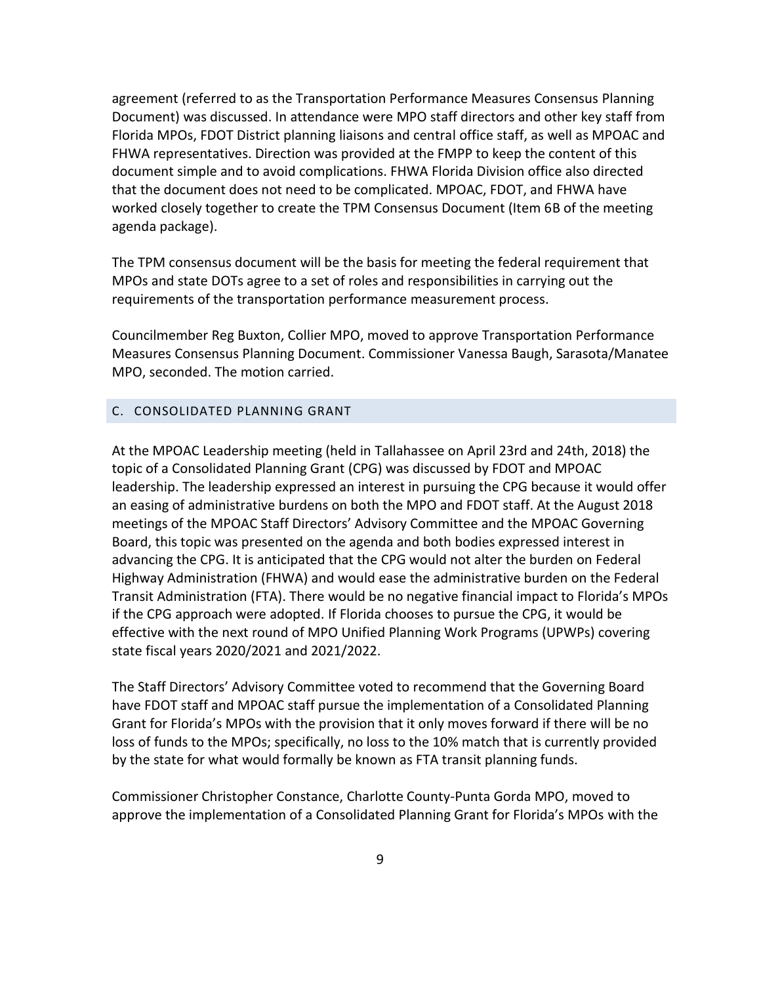agreement (referred to as the Transportation Performance Measures Consensus Planning Document) was discussed. In attendance were MPO staff directors and other key staff from Florida MPOs, FDOT District planning liaisons and central office staff, as well as MPOAC and FHWA representatives. Direction was provided at the FMPP to keep the content of this document simple and to avoid complications. FHWA Florida Division office also directed that the document does not need to be complicated. MPOAC, FDOT, and FHWA have worked closely together to create the TPM Consensus Document (Item 6B of the meeting agenda package).

The TPM consensus document will be the basis for meeting the federal requirement that MPOs and state DOTs agree to a set of roles and responsibilities in carrying out the requirements of the transportation performance measurement process.

Councilmember Reg Buxton, Collier MPO, moved to approve Transportation Performance Measures Consensus Planning Document. Commissioner Vanessa Baugh, Sarasota/Manatee MPO, seconded. The motion carried.

### C. CONSOLIDATED PLANNING GRANT

At the MPOAC Leadership meeting (held in Tallahassee on April 23rd and 24th, 2018) the topic of a Consolidated Planning Grant (CPG) was discussed by FDOT and MPOAC leadership. The leadership expressed an interest in pursuing the CPG because it would offer an easing of administrative burdens on both the MPO and FDOT staff. At the August 2018 meetings of the MPOAC Staff Directors' Advisory Committee and the MPOAC Governing Board, this topic was presented on the agenda and both bodies expressed interest in advancing the CPG. It is anticipated that the CPG would not alter the burden on Federal Highway Administration (FHWA) and would ease the administrative burden on the Federal Transit Administration (FTA). There would be no negative financial impact to Florida's MPOs if the CPG approach were adopted. If Florida chooses to pursue the CPG, it would be effective with the next round of MPO Unified Planning Work Programs (UPWPs) covering state fiscal years 2020/2021 and 2021/2022.

The Staff Directors' Advisory Committee voted to recommend that the Governing Board have FDOT staff and MPOAC staff pursue the implementation of a Consolidated Planning Grant for Florida's MPOs with the provision that it only moves forward if there will be no loss of funds to the MPOs; specifically, no loss to the 10% match that is currently provided by the state for what would formally be known as FTA transit planning funds.

Commissioner Christopher Constance, Charlotte County-Punta Gorda MPO, moved to approve the implementation of a Consolidated Planning Grant for Florida's MPOs with the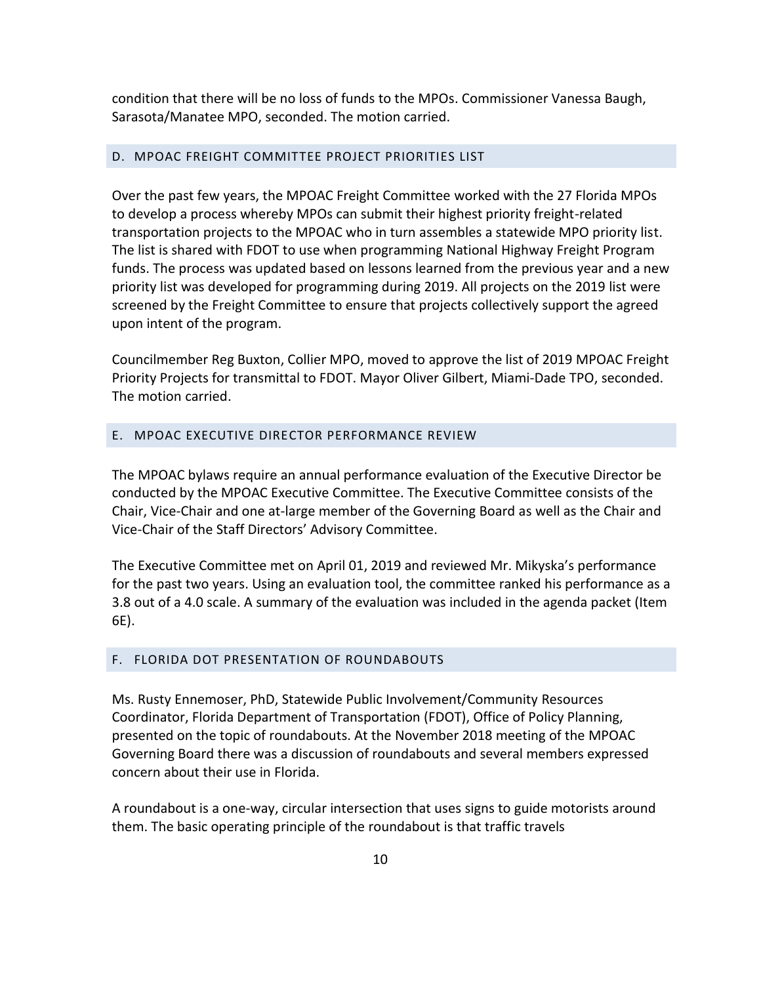condition that there will be no loss of funds to the MPOs. Commissioner Vanessa Baugh, Sarasota/Manatee MPO, seconded. The motion carried.

#### D. MPOAC FREIGHT COMMITTEE PROJECT PRIORITIES LIST

Over the past few years, the MPOAC Freight Committee worked with the 27 Florida MPOs to develop a process whereby MPOs can submit their highest priority freight-related transportation projects to the MPOAC who in turn assembles a statewide MPO priority list. The list is shared with FDOT to use when programming National Highway Freight Program funds. The process was updated based on lessons learned from the previous year and a new priority list was developed for programming during 2019. All projects on the 2019 list were screened by the Freight Committee to ensure that projects collectively support the agreed upon intent of the program.

Councilmember Reg Buxton, Collier MPO, moved to approve the list of 2019 MPOAC Freight Priority Projects for transmittal to FDOT. Mayor Oliver Gilbert, Miami-Dade TPO, seconded. The motion carried.

#### E. MPOAC EXECUTIVE DIRECTOR PERFORMANCE REVIEW

The MPOAC bylaws require an annual performance evaluation of the Executive Director be conducted by the MPOAC Executive Committee. The Executive Committee consists of the Chair, Vice-Chair and one at-large member of the Governing Board as well as the Chair and Vice-Chair of the Staff Directors' Advisory Committee.

The Executive Committee met on April 01, 2019 and reviewed Mr. Mikyska's performance for the past two years. Using an evaluation tool, the committee ranked his performance as a 3.8 out of a 4.0 scale. A summary of the evaluation was included in the agenda packet (Item 6E).

#### F. FLORIDA DOT PRESENTATION OF ROUNDABOUTS

Ms. Rusty Ennemoser, PhD, Statewide Public Involvement/Community Resources Coordinator, Florida Department of Transportation (FDOT), Office of Policy Planning, presented on the topic of roundabouts. At the November 2018 meeting of the MPOAC Governing Board there was a discussion of roundabouts and several members expressed concern about their use in Florida.

A roundabout is a one-way, circular intersection that uses signs to guide motorists around them. The basic operating principle of the roundabout is that traffic travels